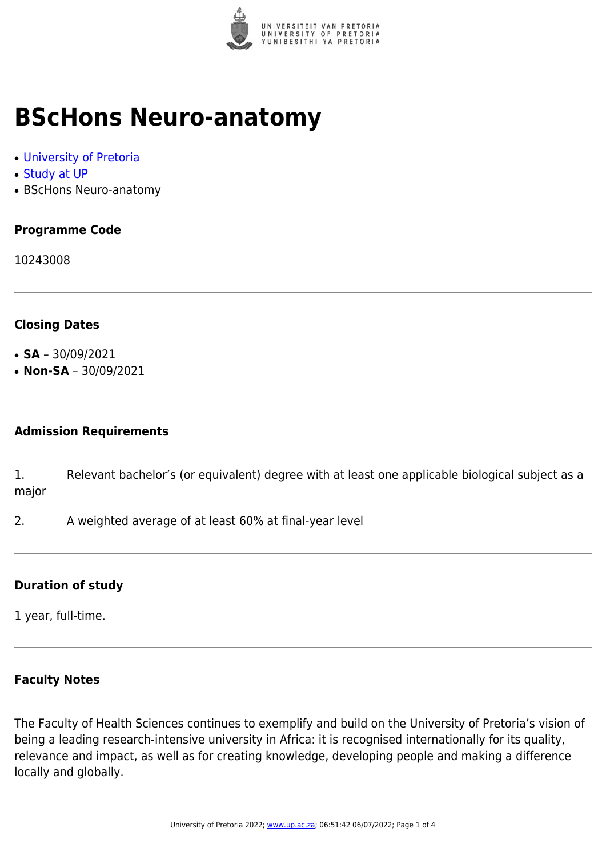

## **BScHons Neuro-anatomy**

- [University of Pretoria](https://www.up.ac.za/home)
- [Study at UP](https://www.up.ac.za/programmes)
- BScHons Neuro-anatomy

### **Programme Code**

10243008

#### **Closing Dates**

- $\cdot$  **SA** 30/09/2021
- $\cdot$  **Non-SA** 30/09/2021

#### **Admission Requirements**

1. Relevant bachelor's (or equivalent) degree with at least one applicable biological subject as a major

2. A weighted average of at least 60% at final-year level

#### **Duration of study**

1 year, full-time.

#### **Faculty Notes**

The Faculty of Health Sciences continues to exemplify and build on the University of Pretoria's vision of being a leading research-intensive university in Africa: it is recognised internationally for its quality, relevance and impact, as well as for creating knowledge, developing people and making a difference locally and globally.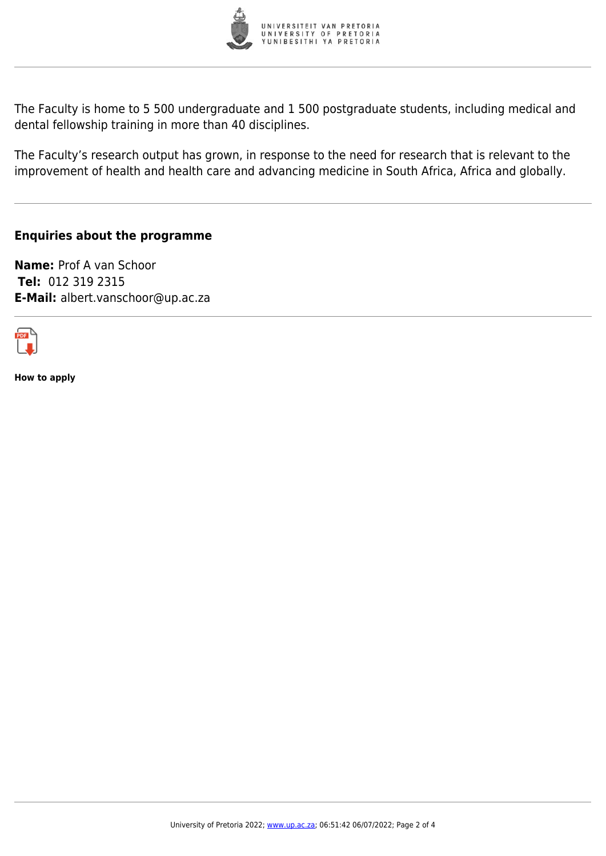

The Faculty is home to 5 500 undergraduate and 1 500 postgraduate students, including medical and dental fellowship training in more than 40 disciplines.

The Faculty's research output has grown, in response to the need for research that is relevant to the improvement of health and health care and advancing medicine in South Africa, Africa and globally.

#### **Enquiries about the programme**

**Name:** Prof A van Schoor **Tel:** 012 319 2315 **E-Mail:** albert.vanschoor@up.ac.za



**How to apply**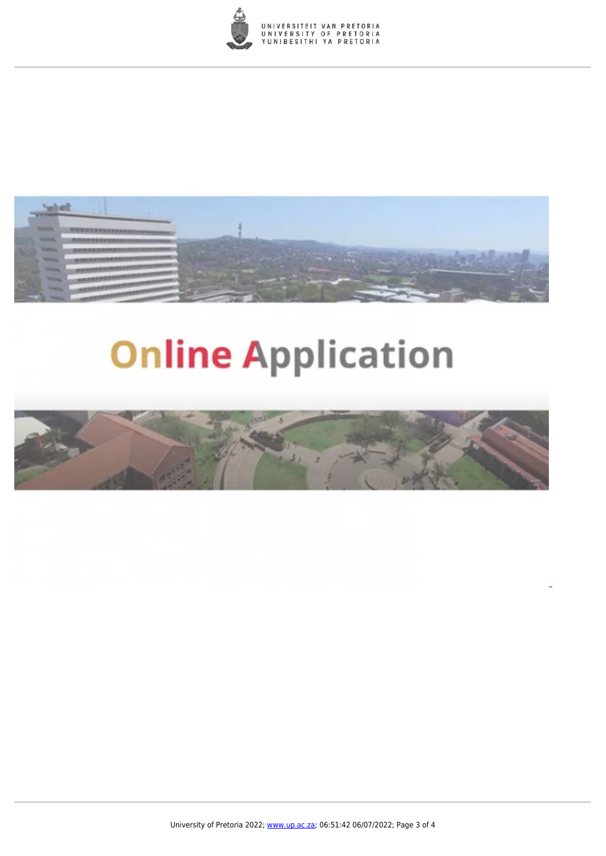



# **Online Application**